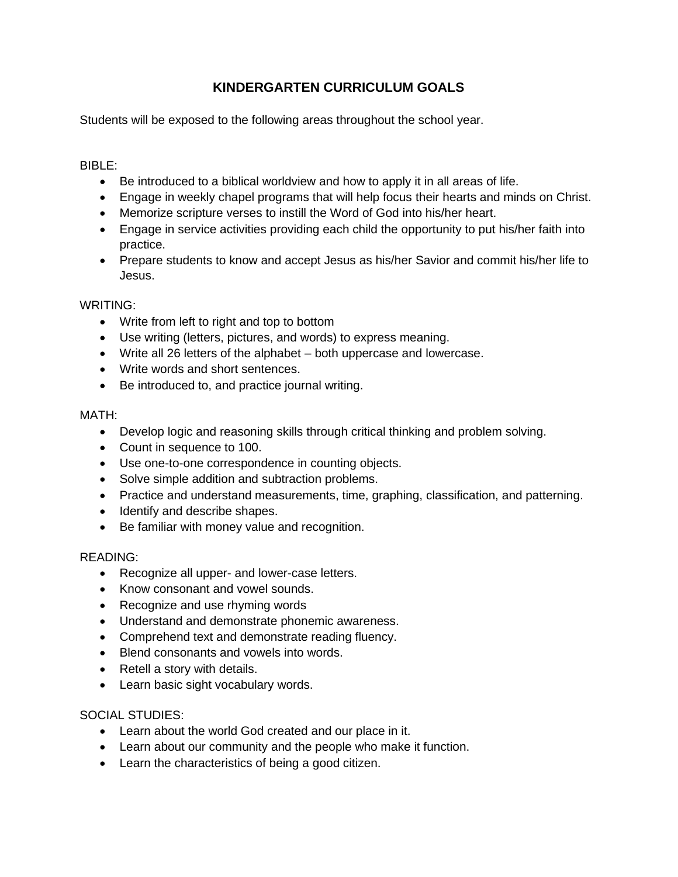# **KINDERGARTEN CURRICULUM GOALS**

Students will be exposed to the following areas throughout the school year.

## BIBLE:

- Be introduced to a biblical worldview and how to apply it in all areas of life.
- Engage in weekly chapel programs that will help focus their hearts and minds on Christ.
- Memorize scripture verses to instill the Word of God into his/her heart.
- Engage in service activities providing each child the opportunity to put his/her faith into practice.
- Prepare students to know and accept Jesus as his/her Savior and commit his/her life to Jesus.

### WRITING:

- Write from left to right and top to bottom
- Use writing (letters, pictures, and words) to express meaning.
- Write all 26 letters of the alphabet both uppercase and lowercase.
- Write words and short sentences.
- Be introduced to, and practice journal writing.

### MATH:

- Develop logic and reasoning skills through critical thinking and problem solving.
- Count in sequence to 100.
- Use one-to-one correspondence in counting objects.
- Solve simple addition and subtraction problems.
- Practice and understand measurements, time, graphing, classification, and patterning.
- Identify and describe shapes.
- Be familiar with money value and recognition.

### READING:

- Recognize all upper- and lower-case letters.
- Know consonant and vowel sounds.
- Recognize and use rhyming words
- Understand and demonstrate phonemic awareness.
- Comprehend text and demonstrate reading fluency.
- Blend consonants and vowels into words.
- Retell a story with details.
- Learn basic sight vocabulary words.

### SOCIAL STUDIES:

- Learn about the world God created and our place in it.
- Learn about our community and the people who make it function.
- Learn the characteristics of being a good citizen.